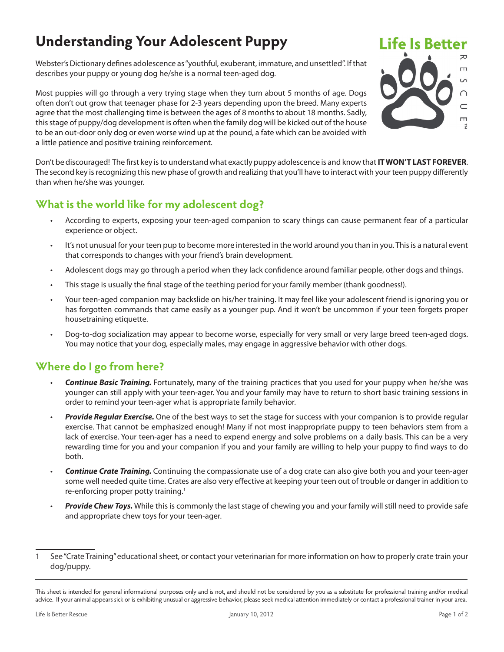## **Understanding Your Adolescent Puppy**

Webster's Dictionary defines adolescence as "youthful, exuberant, immature, and unsettled". If that describes your puppy or young dog he/she is a normal teen-aged dog.

Most puppies will go through a very trying stage when they turn about 5 months of age. Dogs often don't out grow that teenager phase for 2-3 years depending upon the breed. Many experts agree that the most challenging time is between the ages of 8 months to about 18 months. Sadly, this stage of puppy/dog development is often when the family dog will be kicked out of the house to be an out-door only dog or even worse wind up at the pound, a fate which can be avoided with a little patience and positive training reinforcement.



Don't be discouraged! The first key is to understand what exactly puppy adolescence is and know that **IT WON'T LAST FOREVER**. The second key is recognizing this new phase of growth and realizing that you'll have to interact with your teen puppy differently than when he/she was younger.

## **What is the world like for my adolescent dog?**

- According to experts, exposing your teen-aged companion to scary things can cause permanent fear of a particular experience or object.
- It's not unusual for your teen pup to become more interested in the world around you than in you. This is a natural event that corresponds to changes with your friend's brain development.
- Adolescent dogs may go through a period when they lack confidence around familiar people, other dogs and things.
- This stage is usually the final stage of the teething period for your family member (thank goodness!).
- Your teen-aged companion may backslide on his/her training. It may feel like your adolescent friend is ignoring you or has forgotten commands that came easily as a younger pup. And it won't be uncommon if your teen forgets proper housetraining etiquette.
- Dog-to-dog socialization may appear to become worse, especially for very small or very large breed teen-aged dogs. You may notice that your dog, especially males, may engage in aggressive behavior with other dogs.

## **Where do I go from here?**

- *Continue Basic Training.* Fortunately, many of the training practices that you used for your puppy when he/she was younger can still apply with your teen-ager. You and your family may have to return to short basic training sessions in order to remind your teen-ager what is appropriate family behavior.
- *Provide Regular Exercise.* One of the best ways to set the stage for success with your companion is to provide regular exercise. That cannot be emphasized enough! Many if not most inappropriate puppy to teen behaviors stem from a lack of exercise. Your teen-ager has a need to expend energy and solve problems on a daily basis. This can be a very rewarding time for you and your companion if you and your family are willing to help your puppy to find ways to do both.
- *Continue Crate Training.* Continuing the compassionate use of a dog crate can also give both you and your teen-ager some well needed quite time. Crates are also very effective at keeping your teen out of trouble or danger in addition to re-enforcing proper potty training.<sup>1</sup>
- *Provide Chew Toys.* While this is commonly the last stage of chewing you and your family will still need to provide safe and appropriate chew toys for your teen-ager.

<sup>1</sup> See "Crate Training" educational sheet, or contact your veterinarian for more information on how to properly crate train your dog/puppy.

This sheet is intended for general informational purposes only and is not, and should not be considered by you as a substitute for professional training and/or medical advice. If your animal appears sick or is exhibiting unusual or aggressive behavior, please seek medical attention immediately or contact a professional trainer in your area.